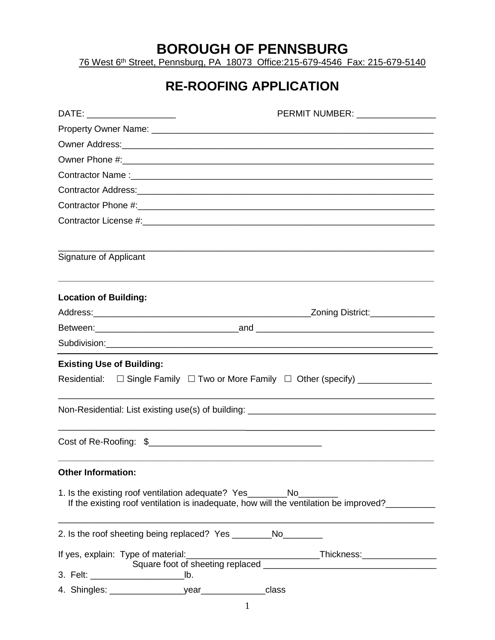## **BOROUGH OF PENNSBURG**

76 West 6th Street, Pennsburg, PA 18073 Office:215-679-4546 Fax: 215-679-5140

## **RE-ROOFING APPLICATION**

| DATE: __________________         | PERMIT NUMBER: University PERMIT NUMBER:                                                                                                                                  |
|----------------------------------|---------------------------------------------------------------------------------------------------------------------------------------------------------------------------|
|                                  |                                                                                                                                                                           |
|                                  |                                                                                                                                                                           |
|                                  |                                                                                                                                                                           |
|                                  |                                                                                                                                                                           |
|                                  |                                                                                                                                                                           |
|                                  |                                                                                                                                                                           |
|                                  |                                                                                                                                                                           |
| Signature of Applicant           |                                                                                                                                                                           |
| <b>Location of Building:</b>     |                                                                                                                                                                           |
|                                  | _Zoning District:______________                                                                                                                                           |
|                                  |                                                                                                                                                                           |
|                                  |                                                                                                                                                                           |
| <b>Existing Use of Building:</b> | Residential: $\square$ Single Family $\square$ Two or More Family $\square$ Other (specify) _____________                                                                 |
|                                  |                                                                                                                                                                           |
|                                  |                                                                                                                                                                           |
| <b>Other Information:</b>        |                                                                                                                                                                           |
|                                  | 1. Is the existing roof ventilation adequate? Yes_________No____________________<br>If the existing roof ventilation is inadequate, how will the ventilation be improved? |
|                                  | 2. Is the roof sheeting being replaced? Yes ___________No_________                                                                                                        |
|                                  |                                                                                                                                                                           |
|                                  |                                                                                                                                                                           |
|                                  |                                                                                                                                                                           |